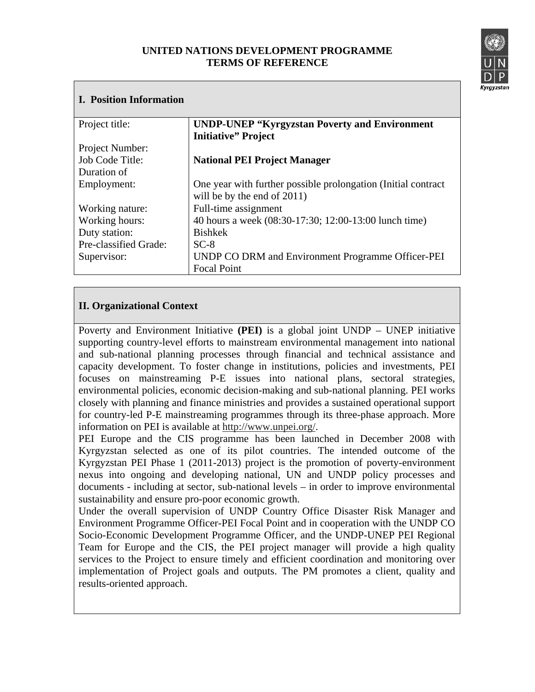## **UNITED NATIONS DEVELOPMENT PROGRAMME TERMS OF REFERENCE**



## **I. Position Information**  Project title: Project Number: Job Code Title: Duration of Employment: Working nature: Working hours: Duty station: Pre-classified Grade: Supervisor: **UNDP-UNEP "Kyrgyzstan Poverty and Environment Initiative" Project National PEI Project Manager** One year with further possible prolongation (Initial contract will be by the end of 2011) Full-time assignment 40 hours a week (08:30-17:30; 12:00-13:00 lunch time) Bishkek  $SC-8$ UNDP CO DRM and Environment Programme Officer-PEI Focal Point

## **II. Organizational Context**

Poverty and Environment Initiative **(PEI)** is a global joint UNDP – UNEP initiative supporting country-level efforts to mainstream environmental management into national and sub-national planning processes through financial and technical assistance and capacity development. To foster change in institutions, policies and investments, PEI focuses on mainstreaming P-E issues into national plans, sectoral strategies, environmental policies, economic decision-making and sub-national planning. PEI works closely with planning and finance ministries and provides a sustained operational support for country-led P-E mainstreaming programmes through its three-phase approach. More information on PEI is available at http://www.unpei.org/.

PEI Europe and the CIS programme has been launched in December 2008 with Kyrgyzstan selected as one of its pilot countries. The intended outcome of the Kyrgyzstan PEI Phase 1 (2011-2013) project is the promotion of poverty-environment nexus into ongoing and developing national, UN and UNDP policy processes and documents - including at sector, sub-national levels – in order to improve environmental sustainability and ensure pro-poor economic growth.

Under the overall supervision of UNDP Country Office Disaster Risk Manager and Environment Programme Officer-PEI Focal Point and in cooperation with the UNDP CO Socio-Economic Development Programme Officer, and the UNDP-UNEP PEI Regional Team for Europe and the CIS, the PEI project manager will provide a high quality services to the Project to ensure timely and efficient coordination and monitoring over implementation of Project goals and outputs. The PM promotes a client, quality and results-oriented approach.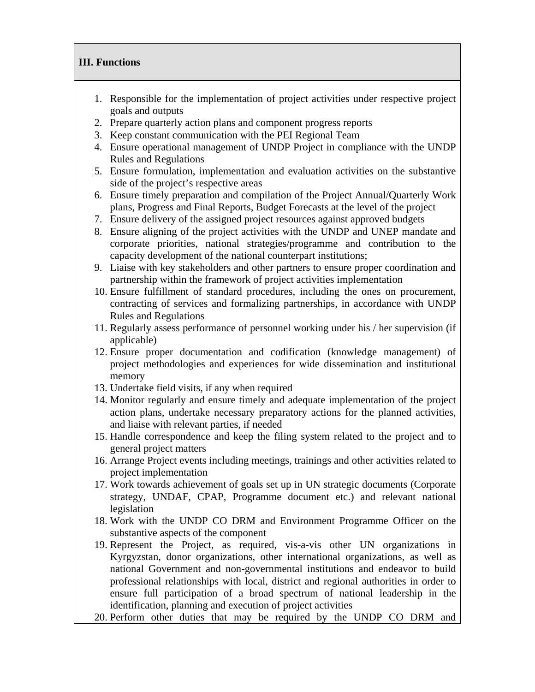## **III. Functions**

- 1. Responsible for the implementation of project activities under respective project goals and outputs
- 2. Prepare quarterly action plans and component progress reports
- 3. Keep constant communication with the PEI Regional Team
- 4. Ensure operational management of UNDP Project in compliance with the UNDP Rules and Regulations
- 5. Ensure formulation, implementation and evaluation activities on the substantive side of the project's respective areas
- 6. Ensure timely preparation and compilation of the Project Annual/Quarterly Work plans, Progress and Final Reports, Budget Forecasts at the level of the project
- 7. Ensure delivery of the assigned project resources against approved budgets
- 8. Ensure aligning of the project activities with the UNDP and UNEP mandate and corporate priorities, national strategies/programme and contribution to the capacity development of the national counterpart institutions;
- 9. Liaise with key stakeholders and other partners to ensure proper coordination and partnership within the framework of project activities implementation
- 10. Ensure fulfillment of standard procedures, including the ones on procurement, contracting of services and formalizing partnerships, in accordance with UNDP Rules and Regulations
- 11. Regularly assess performance of personnel working under his / her supervision (if applicable)
- 12. Ensure proper documentation and codification (knowledge management) of project methodologies and experiences for wide dissemination and institutional memory
- 13. Undertake field visits, if any when required
- 14. Monitor regularly and ensure timely and adequate implementation of the project action plans, undertake necessary preparatory actions for the planned activities, and liaise with relevant parties, if needed
- 15. Handle correspondence and keep the filing system related to the project and to general project matters
- 16. Arrange Project events including meetings, trainings and other activities related to project implementation
- 17. Work towards achievement of goals set up in UN strategic documents (Corporate strategy, UNDAF, CPAP, Programme document etc.) and relevant national legislation
- 18. Work with the UNDP CO DRM and Environment Programme Officer on the substantive aspects of the component
- 19. Represent the Project, as required, vis-a-vis other UN organizations in Kyrgyzstan, donor organizations, other international organizations, as well as national Government and non-governmental institutions and endeavor to build professional relationships with local, district and regional authorities in order to ensure full participation of a broad spectrum of national leadership in the identification, planning and execution of project activities
- 20. Perform other duties that may be required by the UNDP CO DRM and